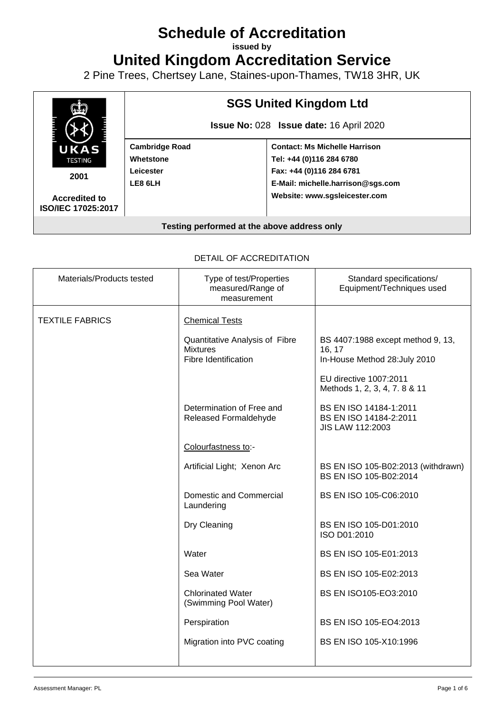# **Schedule of Accreditation**

**issued by**

**United Kingdom Accreditation Service**

2 Pine Trees, Chertsey Lane, Staines-upon-Thames, TW18 3HR, UK



| Materials/Products tested | Type of test/Properties<br>measured/Range of<br>measurement               | Standard specifications/<br>Equipment/Techniques used                        |
|---------------------------|---------------------------------------------------------------------------|------------------------------------------------------------------------------|
| <b>TEXTILE FABRICS</b>    | <b>Chemical Tests</b>                                                     |                                                                              |
|                           | Quantitative Analysis of Fibre<br><b>Mixtures</b><br>Fibre Identification | BS 4407:1988 except method 9, 13,<br>16, 17<br>In-House Method 28: July 2010 |
|                           |                                                                           | EU directive 1007:2011<br>Methods 1, 2, 3, 4, 7. 8 & 11                      |
|                           | Determination of Free and<br>Released Formaldehyde                        | BS EN ISO 14184-1:2011<br>BS EN ISO 14184-2:2011<br><b>JIS LAW 112:2003</b>  |
|                           | Colourfastness to:-                                                       |                                                                              |
|                           | Artificial Light; Xenon Arc                                               | BS EN ISO 105-B02:2013 (withdrawn)<br>BS EN ISO 105-B02:2014                 |
|                           | Domestic and Commercial<br>Laundering                                     | BS EN ISO 105-C06:2010                                                       |
|                           | Dry Cleaning                                                              | BS EN ISO 105-D01:2010<br>ISO D01:2010                                       |
|                           | Water                                                                     | BS EN ISO 105-E01:2013                                                       |
|                           | Sea Water                                                                 | BS EN ISO 105-E02:2013                                                       |
|                           | <b>Chlorinated Water</b><br>(Swimming Pool Water)                         | BS EN ISO105-EO3:2010                                                        |
|                           | Perspiration                                                              | BS EN ISO 105-EO4:2013                                                       |
|                           | Migration into PVC coating                                                | BS EN ISO 105-X10:1996                                                       |
|                           |                                                                           |                                                                              |

#### DETAIL OF ACCREDITATION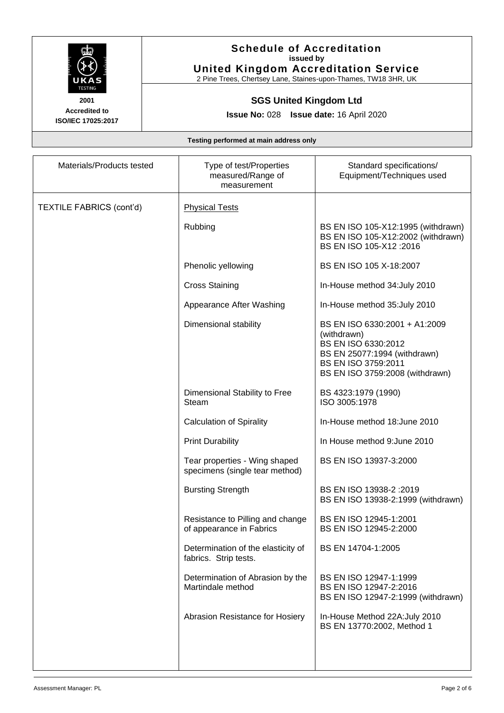

**Accredited to**

## **Schedule of Accreditation issued by United Kingdom Accreditation Service**

2 Pine Trees, Chertsey Lane, Staines-upon-Thames, TW18 3HR, UK

# **SGS United Kingdom Ltd**

**Issue No:** 028 **Issue date:** 16 April 2020

**ISO/IEC 17025:2017**

| Materials/Products tested       | Type of test/Properties<br>measured/Range of<br>measurement     | Standard specifications/<br>Equipment/Techniques used                                                                                                         |
|---------------------------------|-----------------------------------------------------------------|---------------------------------------------------------------------------------------------------------------------------------------------------------------|
| <b>TEXTILE FABRICS (cont'd)</b> | <b>Physical Tests</b>                                           |                                                                                                                                                               |
|                                 | Rubbing                                                         | BS EN ISO 105-X12:1995 (withdrawn)<br>BS EN ISO 105-X12:2002 (withdrawn)<br>BS EN ISO 105-X12:2016                                                            |
|                                 | Phenolic yellowing                                              | BS EN ISO 105 X-18:2007                                                                                                                                       |
|                                 | <b>Cross Staining</b>                                           | In-House method 34: July 2010                                                                                                                                 |
|                                 | Appearance After Washing                                        | In-House method 35: July 2010                                                                                                                                 |
|                                 | Dimensional stability                                           | BS EN ISO 6330:2001 + A1:2009<br>(withdrawn)<br>BS EN ISO 6330:2012<br>BS EN 25077:1994 (withdrawn)<br>BS EN ISO 3759:2011<br>BS EN ISO 3759:2008 (withdrawn) |
|                                 | Dimensional Stability to Free<br>Steam                          | BS 4323:1979 (1990)<br>ISO 3005:1978                                                                                                                          |
|                                 | <b>Calculation of Spirality</b>                                 | In-House method 18: June 2010                                                                                                                                 |
|                                 | <b>Print Durability</b>                                         | In House method 9: June 2010                                                                                                                                  |
|                                 | Tear properties - Wing shaped<br>specimens (single tear method) | BS EN ISO 13937-3:2000                                                                                                                                        |
|                                 | <b>Bursting Strength</b>                                        | BS EN ISO 13938-2:2019<br>BS EN ISO 13938-2:1999 (withdrawn)                                                                                                  |
|                                 | Resistance to Pilling and change<br>of appearance in Fabrics    | BS EN ISO 12945-1:2001<br>BS EN ISO 12945-2:2000                                                                                                              |
|                                 | Determination of the elasticity of<br>fabrics. Strip tests.     | BS EN 14704-1:2005                                                                                                                                            |
|                                 | Determination of Abrasion by the<br>Martindale method           | BS EN ISO 12947-1:1999<br>BS EN ISO 12947-2:2016<br>BS EN ISO 12947-2:1999 (withdrawn)                                                                        |
|                                 | Abrasion Resistance for Hosiery                                 | In-House Method 22A: July 2010<br>BS EN 13770:2002, Method 1                                                                                                  |
|                                 |                                                                 |                                                                                                                                                               |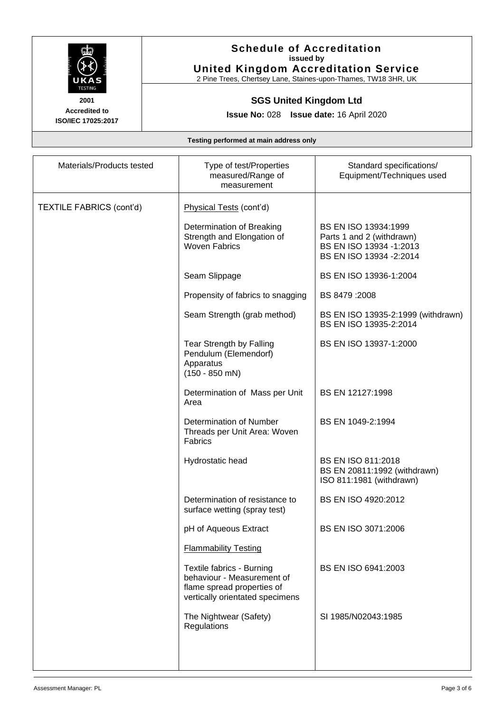

### **Schedule of Accreditation issued by United Kingdom Accreditation Service**

2 Pine Trees, Chertsey Lane, Staines-upon-Thames, TW18 3HR, UK

# **SGS United Kingdom Ltd**

**Issue No:** 028 **Issue date:** 16 April 2020

| Materials/Products tested       | Type of test/Properties<br>measured/Range of<br>measurement                                                              | Standard specifications/<br>Equipment/Techniques used                                                    |
|---------------------------------|--------------------------------------------------------------------------------------------------------------------------|----------------------------------------------------------------------------------------------------------|
| <b>TEXTILE FABRICS (cont'd)</b> | Physical Tests (cont'd)                                                                                                  |                                                                                                          |
|                                 | Determination of Breaking<br>Strength and Elongation of<br><b>Woven Fabrics</b>                                          | BS EN ISO 13934:1999<br>Parts 1 and 2 (withdrawn)<br>BS EN ISO 13934 -1:2013<br>BS EN ISO 13934 - 2:2014 |
|                                 | Seam Slippage                                                                                                            | BS EN ISO 13936-1:2004                                                                                   |
|                                 | Propensity of fabrics to snagging                                                                                        | BS 8479:2008                                                                                             |
|                                 | Seam Strength (grab method)                                                                                              | BS EN ISO 13935-2:1999 (withdrawn)<br>BS EN ISO 13935-2:2014                                             |
|                                 | Tear Strength by Falling<br>Pendulum (Elemendorf)<br>Apparatus<br>$(150 - 850$ mN)                                       | BS EN ISO 13937-1:2000                                                                                   |
|                                 | Determination of Mass per Unit<br>Area                                                                                   | BS EN 12127:1998                                                                                         |
|                                 | Determination of Number<br>Threads per Unit Area: Woven<br>Fabrics                                                       | BS EN 1049-2:1994                                                                                        |
|                                 | Hydrostatic head                                                                                                         | BS EN ISO 811:2018<br>BS EN 20811:1992 (withdrawn)<br>ISO 811:1981 (withdrawn)                           |
|                                 | Determination of resistance to<br>surface wetting (spray test)                                                           | BS EN ISO 4920:2012                                                                                      |
|                                 | pH of Aqueous Extract                                                                                                    | BS EN ISO 3071:2006                                                                                      |
|                                 | <b>Flammability Testing</b>                                                                                              |                                                                                                          |
|                                 | Textile fabrics - Burning<br>behaviour - Measurement of<br>flame spread properties of<br>vertically orientated specimens | BS EN ISO 6941:2003                                                                                      |
|                                 | The Nightwear (Safety)<br>Regulations                                                                                    | SI 1985/N02043:1985                                                                                      |
|                                 |                                                                                                                          |                                                                                                          |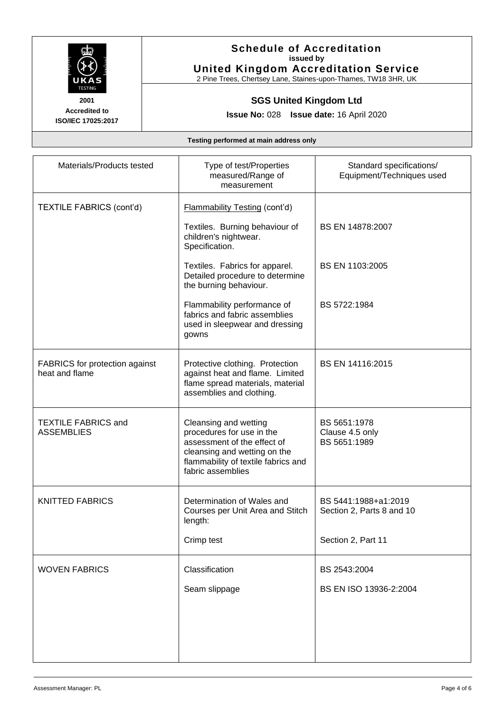

#### **Schedule of Accreditation issued by United Kingdom Accreditation Service**

2 Pine Trees, Chertsey Lane, Staines-upon-Thames, TW18 3HR, UK

# **SGS United Kingdom Ltd**

**Issue No:** 028 **Issue date:** 16 April 2020

| Materials/Products tested                               | Type of test/Properties<br>measured/Range of<br>measurement                                                                                                                   | Standard specifications/<br>Equipment/Techniques used |
|---------------------------------------------------------|-------------------------------------------------------------------------------------------------------------------------------------------------------------------------------|-------------------------------------------------------|
| <b>TEXTILE FABRICS (cont'd)</b>                         | <b>Flammability Testing (cont'd)</b>                                                                                                                                          |                                                       |
|                                                         | Textiles. Burning behaviour of<br>children's nightwear.<br>Specification.                                                                                                     | BS EN 14878:2007                                      |
|                                                         | Textiles. Fabrics for apparel.<br>Detailed procedure to determine<br>the burning behaviour.                                                                                   | BS EN 1103:2005                                       |
|                                                         | Flammability performance of<br>fabrics and fabric assemblies<br>used in sleepwear and dressing<br>gowns                                                                       | BS 5722:1984                                          |
| <b>FABRICS</b> for protection against<br>heat and flame | Protective clothing. Protection<br>against heat and flame. Limited<br>flame spread materials, material<br>assemblies and clothing.                                            | BS EN 14116:2015                                      |
| <b>TEXTILE FABRICS and</b><br><b>ASSEMBLIES</b>         | Cleansing and wetting<br>procedures for use in the<br>assessment of the effect of<br>cleansing and wetting on the<br>flammability of textile fabrics and<br>fabric assemblies | BS 5651:1978<br>Clause 4.5 only<br>BS 5651:1989       |
| <b>KNITTED FABRICS</b>                                  | Determination of Wales and<br>Courses per Unit Area and Stitch<br>length:                                                                                                     | BS 5441:1988+a1:2019<br>Section 2, Parts 8 and 10     |
|                                                         | Crimp test                                                                                                                                                                    | Section 2, Part 11                                    |
| <b>WOVEN FABRICS</b>                                    | Classification                                                                                                                                                                | BS 2543:2004                                          |
|                                                         | Seam slippage                                                                                                                                                                 | BS EN ISO 13936-2:2004                                |
|                                                         |                                                                                                                                                                               |                                                       |
|                                                         |                                                                                                                                                                               |                                                       |
|                                                         |                                                                                                                                                                               |                                                       |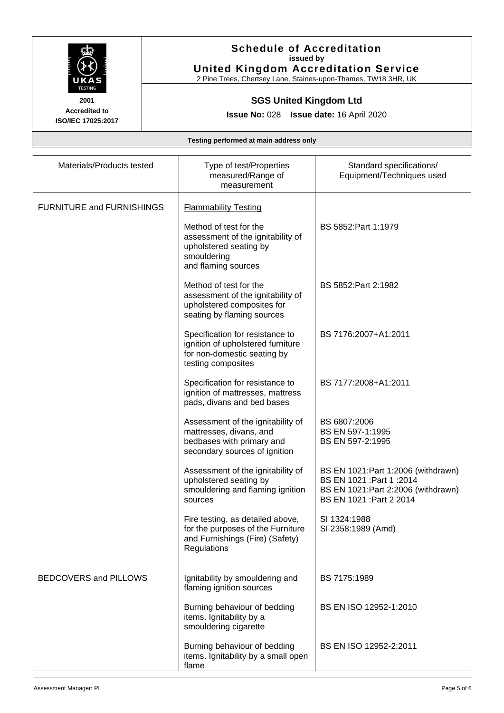

#### **Schedule of Accreditation issued by United Kingdom Accreditation Service**

2 Pine Trees, Chertsey Lane, Staines-upon-Thames, TW18 3HR, UK

# **SGS United Kingdom Ltd**

**Issue No:** 028 **Issue date:** 16 April 2020

| Materials/Products tested        | Type of test/Properties<br>measured/Range of<br>measurement                                                                                    | Standard specifications/<br>Equipment/Techniques used                                                                                 |
|----------------------------------|------------------------------------------------------------------------------------------------------------------------------------------------|---------------------------------------------------------------------------------------------------------------------------------------|
| <b>FURNITURE and FURNISHINGS</b> | <b>Flammability Testing</b><br>Method of test for the<br>assessment of the ignitability of<br>upholstered seating by<br>smouldering            | BS 5852: Part 1:1979                                                                                                                  |
|                                  | and flaming sources<br>Method of test for the<br>assessment of the ignitability of<br>upholstered composites for<br>seating by flaming sources | BS 5852: Part 2: 1982                                                                                                                 |
|                                  | Specification for resistance to<br>ignition of upholstered furniture<br>for non-domestic seating by<br>testing composites                      | BS 7176:2007+A1:2011                                                                                                                  |
|                                  | Specification for resistance to<br>ignition of mattresses, mattress<br>pads, divans and bed bases                                              | BS 7177:2008+A1:2011                                                                                                                  |
|                                  | Assessment of the ignitability of<br>mattresses, divans, and<br>bedbases with primary and<br>secondary sources of ignition                     | BS 6807:2006<br>BS EN 597-1:1995<br>BS EN 597-2:1995                                                                                  |
|                                  | Assessment of the ignitability of<br>upholstered seating by<br>smouldering and flaming ignition<br>sources                                     | BS EN 1021: Part 1:2006 (withdrawn)<br>BS EN 1021 : Part 1 : 2014<br>BS EN 1021: Part 2: 2006 (withdrawn)<br>BS EN 1021 : Part 2 2014 |
|                                  | Fire testing, as detailed above,<br>for the purposes of the Furniture<br>and Furnishings (Fire) (Safety)<br>Regulations                        | SI 1324:1988<br>SI 2358:1989 (Amd)                                                                                                    |
| BEDCOVERS and PILLOWS            | Ignitability by smouldering and<br>flaming ignition sources                                                                                    | BS 7175:1989                                                                                                                          |
|                                  | Burning behaviour of bedding<br>items. Ignitability by a<br>smouldering cigarette                                                              | BS EN ISO 12952-1:2010                                                                                                                |
|                                  | Burning behaviour of bedding<br>items. Ignitability by a small open<br>flame                                                                   | BS EN ISO 12952-2:2011                                                                                                                |